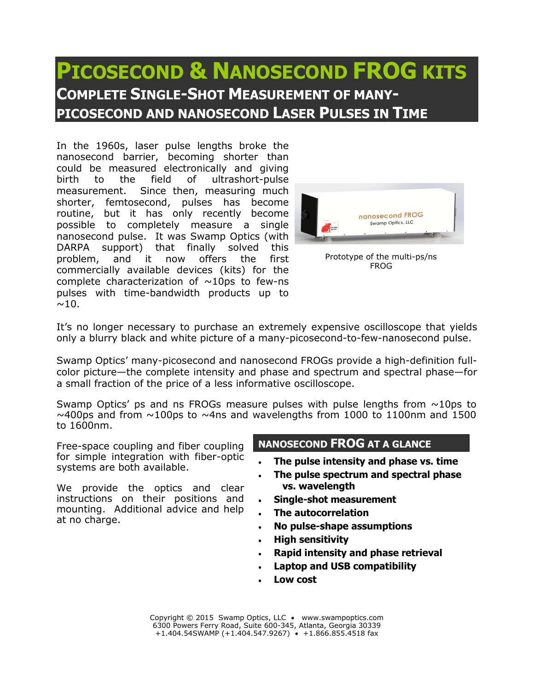## **PICOSECOND & NANOSECOND FROG KITS COMPLETE SINGLE-SHOT MEASUREMENT OF MANY-PICOSECOND AND NANOSECOND LASER PULSES IN TIME**

In the 1960s, laser pulse lengths broke the nanosecond barrier, becoming shorter than could be measured electronically and giving birth to the field of ultrashort-pulse measurement. Since then, measuring much shorter, femtosecond, pulses has become routine, but it has only recently become possible to completely measure a single nanosecond pulse. It was Swamp Optics (with DARPA support) that finally solved this problem, and it now offers the first commercially available devices (kits) for the complete characterization of  $\sim$ 10ps to few-ns pulses with time-bandwidth products up to  $\sim$ 10.



Prototype of the multi-ps/ns FROG

It's no longer necessary to purchase an extremely expensive oscilloscope that yields only a blurry black and white picture of a many-picosecond-to-few-nanosecond pulse.

Swamp Optics' many-picosecond and nanosecond FROGs provide a high-definition fullcolor picture—the complete intensity and phase and spectrum and spectral phase—for a small fraction of the price of a less informative oscilloscope.

Swamp Optics' ps and ns FROGs measure pulses with pulse lengths from  $\sim 10$ ps to  $\sim$ 400ps and from  $\sim$ 100ps to  $\sim$ 4ns and wavelengths from 1000 to 1100nm and 1500 to 1600nm.

Free-space coupling and fiber coupling for simple integration with fiber-optic systems are both available.

We provide the optics and clear instructions on their positions and mounting. Additional advice and help at no charge.

## **NANOSECOND FROG AT A GLANCE**

- **The pulse intensity and phase vs. time**
- **The pulse spectrum and spectral phase vs. wavelength**
- **Single-shot measurement**
- **The autocorrelation**
- **No pulse-shape assumptions**
- **High sensitivity**
- **Rapid intensity and phase retrieval**
- **Laptop and USB compatibility**
- **Low cost**